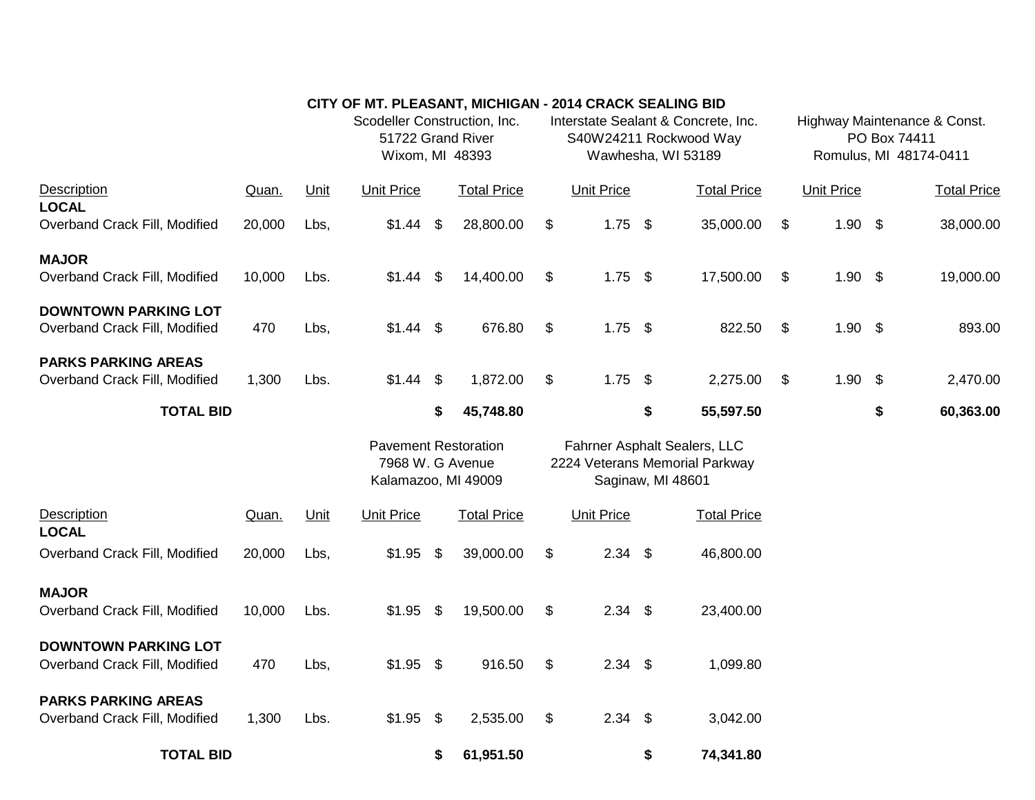|                                                              |        |      | CITY OF MT. PLEASANT, MICHIGAN - 2014 CRACK SEALING BID                |    |                    |                                                                                     |                   |                            |                    |                                                                        |                   |    |                    |
|--------------------------------------------------------------|--------|------|------------------------------------------------------------------------|----|--------------------|-------------------------------------------------------------------------------------|-------------------|----------------------------|--------------------|------------------------------------------------------------------------|-------------------|----|--------------------|
|                                                              |        |      | Scodeller Construction, Inc.<br>51722 Grand River<br>Wixom, MI 48393   |    |                    | Interstate Sealant & Concrete, Inc.<br>S40W24211 Rockwood Way<br>Wawhesha, WI 53189 |                   |                            |                    | Highway Maintenance & Const.<br>PO Box 74411<br>Romulus, MI 48174-0411 |                   |    |                    |
| Description<br><b>LOCAL</b>                                  | Quan.  | Unit | <b>Unit Price</b>                                                      |    | <b>Total Price</b> |                                                                                     | <b>Unit Price</b> |                            | <b>Total Price</b> |                                                                        | <b>Unit Price</b> |    | <b>Total Price</b> |
| Overband Crack Fill, Modified                                | 20,000 | Lbs, | \$1.44                                                                 | \$ | 28,800.00          | \$                                                                                  | 1.75              | \$                         | 35,000.00          | \$                                                                     | $1.90$ \$         |    | 38,000.00          |
| <b>MAJOR</b><br>Overband Crack Fill, Modified                | 10,000 | Lbs. | \$1.44                                                                 | \$ | 14,400.00          | \$                                                                                  | $1.75$ \$         |                            | 17,500.00          | \$                                                                     | $1.90$ \$         |    | 19,000.00          |
|                                                              |        |      |                                                                        |    |                    |                                                                                     |                   |                            |                    |                                                                        |                   |    |                    |
| <b>DOWNTOWN PARKING LOT</b><br>Overband Crack Fill, Modified | 470    | Lbs, | $$1.44$ \$                                                             |    | 676.80             | $\$\$                                                                               | 1.75              | $\boldsymbol{\mathsf{S}}$  | 822.50             | $\boldsymbol{\mathsf{\$}}$                                             | $1.90$ \$         |    | 893.00             |
| <b>PARKS PARKING AREAS</b><br>Overband Crack Fill, Modified  | 1,300  | Lbs. | $$1.44$ \$                                                             |    | 1,872.00           | \$                                                                                  | 1.75              | $\boldsymbol{\mathsf{\$}}$ | 2,275.00           | \$                                                                     | $1.90$ \$         |    | 2,470.00           |
| <b>TOTAL BID</b>                                             |        |      |                                                                        | \$ | 45,748.80          |                                                                                     |                   | \$                         | 55,597.50          |                                                                        |                   | \$ | 60,363.00          |
|                                                              |        |      | <b>Pavement Restoration</b><br>7968 W. G Avenue<br>Kalamazoo, MI 49009 |    |                    | Fahrner Asphalt Sealers, LLC<br>2224 Veterans Memorial Parkway<br>Saginaw, MI 48601 |                   |                            |                    |                                                                        |                   |    |                    |
| Description<br><b>LOCAL</b>                                  | Quan.  | Unit | <b>Unit Price</b>                                                      |    | <b>Total Price</b> |                                                                                     | <b>Unit Price</b> |                            | <b>Total Price</b> |                                                                        |                   |    |                    |
| Overband Crack Fill, Modified                                | 20,000 | Lbs, | \$1.95                                                                 | \$ | 39,000.00          | \$                                                                                  | $2.34$ \$         |                            | 46,800.00          |                                                                        |                   |    |                    |
| <b>MAJOR</b><br>Overband Crack Fill, Modified                | 10,000 | Lbs. | $$1.95$ \$                                                             |    | 19,500.00          | \$                                                                                  | 2.34              | $\boldsymbol{\mathsf{S}}$  | 23,400.00          |                                                                        |                   |    |                    |
| <b>DOWNTOWN PARKING LOT</b><br>Overband Crack Fill, Modified | 470    | Lbs, | $$1.95$ \$                                                             |    | 916.50             | \$                                                                                  | 2.34              | $\boldsymbol{\theta}$      | 1,099.80           |                                                                        |                   |    |                    |
|                                                              |        |      |                                                                        |    |                    |                                                                                     |                   |                            |                    |                                                                        |                   |    |                    |
| <b>PARKS PARKING AREAS</b><br>Overband Crack Fill, Modified  | 1,300  | Lbs. | $$1.95$ \$                                                             |    | 2,535.00           | \$                                                                                  | 2.34              | \$                         | 3,042.00           |                                                                        |                   |    |                    |
| <b>TOTAL BID</b>                                             |        |      |                                                                        | \$ | 61,951.50          |                                                                                     |                   | \$                         | 74,341.80          |                                                                        |                   |    |                    |